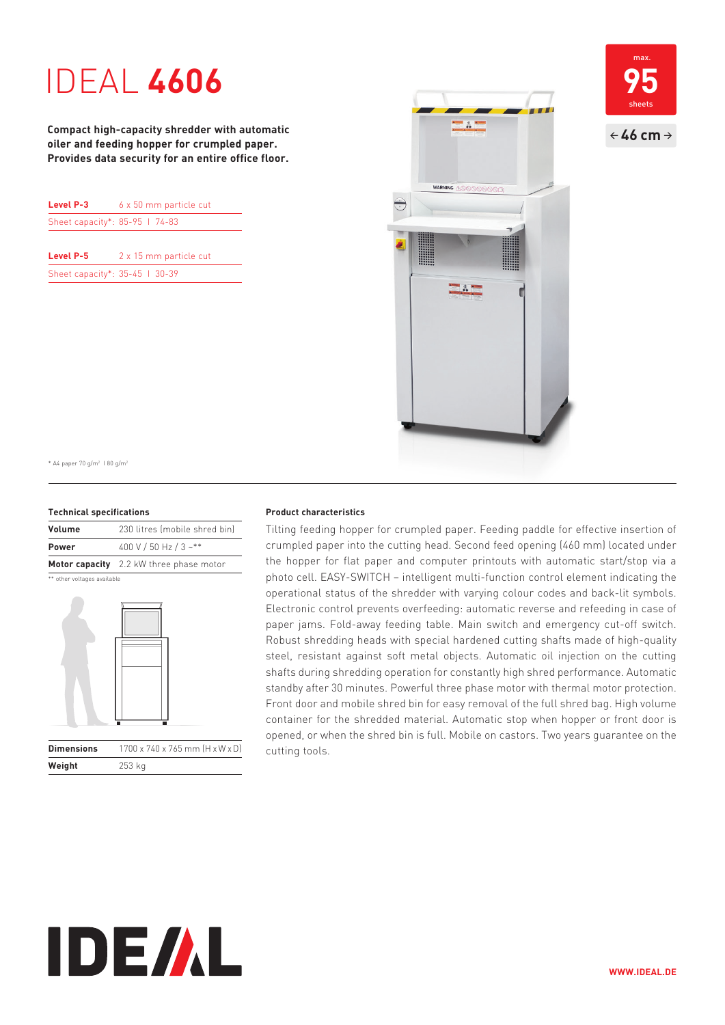# IDEAL **4606**

**Compact high-capacity shredder with automatic oiler and feeding hopper for crumpled paper. Provides data security for an entire office floor.**

| Level P-3                      | 6 x 50 mm particle cut |
|--------------------------------|------------------------|
| Sheet capacity*: 85-95   74-83 |                        |
|                                |                        |

| Level P-5                      | 2 x 15 mm particle cut |
|--------------------------------|------------------------|
| Sheet capacity*: 35-45   30-39 |                        |



**95**  $\leftarrow$  46 cm  $\rightarrow$ max. sheets

\* A4 paper 70 g/m2 I 80 g/m2

#### **Technical specifications**

| Volume       | 230 litres (mobile shred bin)           |
|--------------|-----------------------------------------|
| <b>Power</b> | 400 V / 50 Hz / 3 ~**                   |
|              | Motor capacity 2.2 kW three phase motor |

\*\* other voltages available

**Weight** 253 kg



#### **Product characteristics**

Tilting feeding hopper for crumpled paper. Feeding paddle for effective insertion of crumpled paper into the cutting head. Second feed opening (460 mm) located under the hopper for flat paper and computer printouts with automatic start/stop via a photo cell. EASY-SWITCH – intelligent multi-function control element indicating the operational status of the shredder with varying colour codes and back-lit symbols. Electronic control prevents over feeding: automatic reverse and refeeding in case of paper jams. Fold-away feeding table. Main switch and emergency cut-off switch. Robust shredding heads with special hardened cutting shafts made of high-quality steel, resistant against soft metal objects. Automatic oil injection on the cutting shafts during shredding operation for constantly high shred performance. Automatic standby after 30 minutes. Powerful three phase motor with thermal motor protection. Front door and mobile shred bin for easy removal of the full shred bag. High volume container for the shredded material. Automatic stop when hopper or front door is opened, or when the shred bin is full. Mobile on castors. Two years guarantee on the cutting tools.